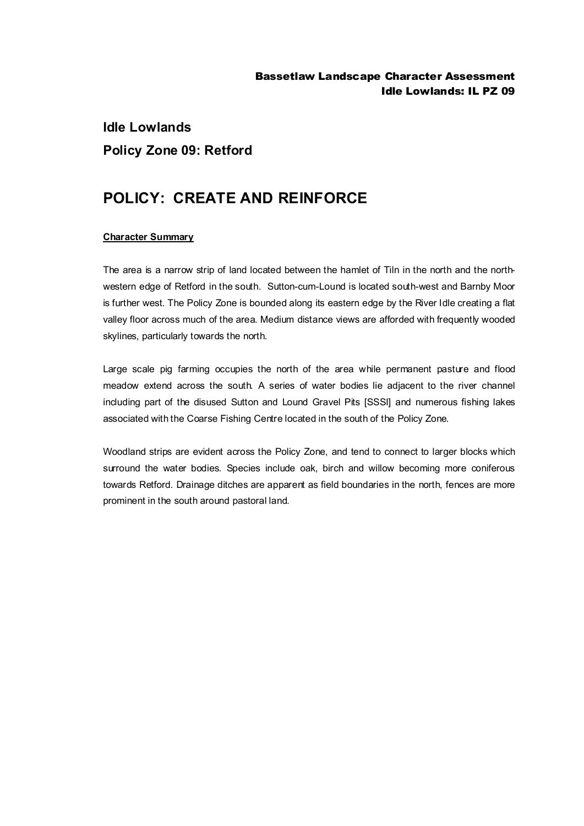# **Idle Lowlands Policy Zone 09: Retford**

## **POLICY: CREATE AND REINFORCE**

### **Character Summary**

The area is a narrow strip of land located between the hamlet of Tiln in the north and the northwestern edge of Retford in the south. Sutton-cum-Lound is located south-west and Barnby Moor is further west. The Policy Zone is bounded along its eastern edge by the River Idle creating a flat valley floor across much of the area. Medium distance views are afforded with frequently wooded skylines, particularly towards the north.

Large scale pig farming occupies the north of the area while permanent pasture and flood meadow extend across the south. A series of water bodies lie adjacent to the river channel including part of the disused Sutton and Lound Gravel Pits [SSSI] and numerous fishing lakes associated with the Coarse Fishing Centre located in the south of the Policy Zone.

Woodland strips are evident across the Policy Zone, and tend to connect to larger blocks which surround the water bodies. Species include oak, birch and willow becoming more coniferous towards Retford. Drainage ditches are apparent as field boundaries in the north, fences are more prominent in the south around pastoral land.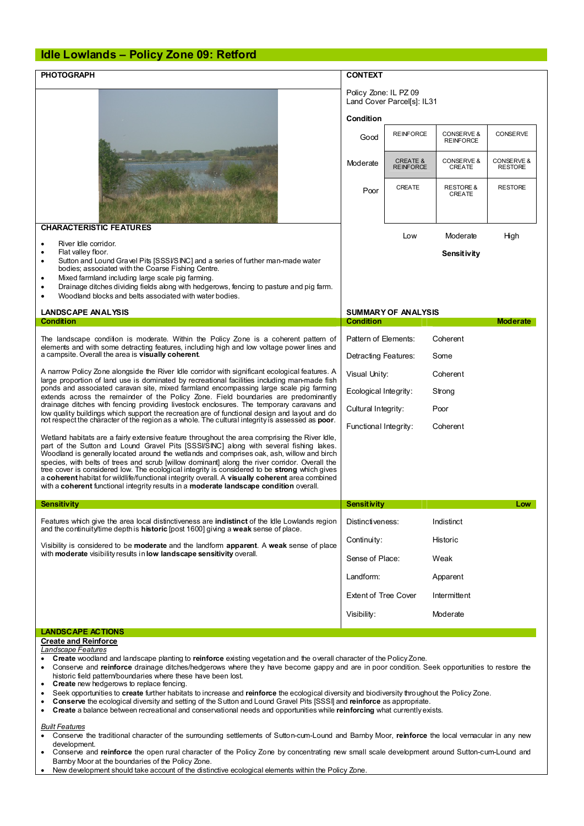#### **Idle Lowlands – Policy Zone 09: Retford**

| <b>PHOTOGRAPH</b>                                                                                                                                                                                                                                                                                                                                                                                                                                                                                                                                                                                                                                                                       | <b>CONTEXT</b>                                      |                                         |                                |                              |
|-----------------------------------------------------------------------------------------------------------------------------------------------------------------------------------------------------------------------------------------------------------------------------------------------------------------------------------------------------------------------------------------------------------------------------------------------------------------------------------------------------------------------------------------------------------------------------------------------------------------------------------------------------------------------------------------|-----------------------------------------------------|-----------------------------------------|--------------------------------|------------------------------|
|                                                                                                                                                                                                                                                                                                                                                                                                                                                                                                                                                                                                                                                                                         | Policy Zone: IL PZ 09<br>Land Cover Parcel[s]: IL31 |                                         |                                |                              |
|                                                                                                                                                                                                                                                                                                                                                                                                                                                                                                                                                                                                                                                                                         | Condition                                           |                                         |                                |                              |
|                                                                                                                                                                                                                                                                                                                                                                                                                                                                                                                                                                                                                                                                                         | Good                                                | <b>REINFORCE</b>                        | CONSERVE &<br><b>REINFORCE</b> | CONSERVE                     |
|                                                                                                                                                                                                                                                                                                                                                                                                                                                                                                                                                                                                                                                                                         | Moderate                                            | <b>CREATE &amp;</b><br><b>REINFORCE</b> | CONSERVE &<br>CREATE           | CONSERVE &<br><b>RESTORE</b> |
|                                                                                                                                                                                                                                                                                                                                                                                                                                                                                                                                                                                                                                                                                         | Poor                                                | CREATE                                  | <b>RESTORE &amp;</b><br>CREATE | <b>RESTORE</b>               |
| <b>CHARACTERISTIC FEATURES</b>                                                                                                                                                                                                                                                                                                                                                                                                                                                                                                                                                                                                                                                          |                                                     | Low                                     | Moderate                       | High                         |
| River Idle corridor.<br>$\bullet$                                                                                                                                                                                                                                                                                                                                                                                                                                                                                                                                                                                                                                                       |                                                     |                                         |                                |                              |
| Flat valley floor.<br>$\bullet$<br>Sutton and Lound Gravel Pits [SSSI/SINC] and a series of further man-made water<br>$\bullet$<br>bodies; associated with the Coarse Fishing Centre.                                                                                                                                                                                                                                                                                                                                                                                                                                                                                                   |                                                     |                                         | Sensitivity                    |                              |
| Mixed farmland including large scale pig farming.<br>٠<br>Drainage ditches dividing fields along with hedgerows, fencing to pasture and pig farm.<br>٠<br>Woodland blocks and belts associated with water bodies.                                                                                                                                                                                                                                                                                                                                                                                                                                                                       |                                                     |                                         |                                |                              |
| <b>LANDSCAPE ANALYSIS</b>                                                                                                                                                                                                                                                                                                                                                                                                                                                                                                                                                                                                                                                               | <b>SUMMARY OF ANALYSIS</b>                          |                                         |                                |                              |
| <b>Condition</b>                                                                                                                                                                                                                                                                                                                                                                                                                                                                                                                                                                                                                                                                        | <b>Condition</b>                                    |                                         |                                | <b>Moderate</b>              |
| The landscape condition is moderate. Within the Policy Zone is a coherent pattern of<br>elements and with some detracting features, including high and low voltage power lines and<br>a campsite. Overall the area is visually coherent.                                                                                                                                                                                                                                                                                                                                                                                                                                                |                                                     | Pattern of Elements:<br>Coherent        |                                |                              |
|                                                                                                                                                                                                                                                                                                                                                                                                                                                                                                                                                                                                                                                                                         |                                                     | Detracting Features:<br>Some            |                                |                              |
| A narrow Policy Zone alongside the River Idle corridor with significant ecological features. A<br>large proportion of land use is dominated by recreational facilities including man-made fish<br>ponds and associated caravan site, mixed farmland encompassing large scale pig farming<br>extends across the remainder of the Policy Zone. Field boundaries are predominantly<br>drainage ditches with fencing providing livestock enclosures. The temporary caravans and<br>low quality buildings which support the recreation are of functional design and layout and do<br>not respect the character of the region as a whole. The cultural integrity is assessed as poor.         |                                                     | Visual Unity:<br>Coherent               |                                |                              |
|                                                                                                                                                                                                                                                                                                                                                                                                                                                                                                                                                                                                                                                                                         |                                                     | Ecological Integrity:<br>Strong         |                                |                              |
|                                                                                                                                                                                                                                                                                                                                                                                                                                                                                                                                                                                                                                                                                         |                                                     | Cultural Integrity:<br>Poor             |                                |                              |
|                                                                                                                                                                                                                                                                                                                                                                                                                                                                                                                                                                                                                                                                                         | Functional Integrity:                               |                                         | Coherent                       |                              |
| Wetland habitats are a fairly extensive feature throughout the area comprising the River Idle,<br>part of the Sutton and Lound Gravel Pits [SSSI/SINC] along with several fishing lakes.<br>Woodland is generally located around the wetlands and comprises oak, ash, willow and birch<br>species, with belts of trees and scrub [willow dominant] along the river corridor. Overall the<br>tree cover is considered low. The ecological integrity is considered to be strong which gives<br>a coherent habitat for wildlife/functional integrity overall. A visually coherent area combined<br>with a coherent functional integrity results in a moderate landscape condition overall. |                                                     |                                         |                                |                              |
| <b>Sensitivity</b>                                                                                                                                                                                                                                                                                                                                                                                                                                                                                                                                                                                                                                                                      | <b>Sensit ivity</b>                                 |                                         |                                | Low                          |
| Features which give the area local distinctiveness are <b>indistinct</b> of the Idle Lowlands region<br>and the continuity time depth is <b>historic</b> [post 1600] giving a weak sense of place.                                                                                                                                                                                                                                                                                                                                                                                                                                                                                      | Distinctiveness:                                    |                                         | Indistinct                     |                              |
| Visibility is considered to be <b>moderate</b> and the landform <b>apparent</b> . A weak sense of place<br>with moderate visibility results in low landscape sensitivity overall.                                                                                                                                                                                                                                                                                                                                                                                                                                                                                                       |                                                     | Historic<br>Continuity:                 |                                |                              |
|                                                                                                                                                                                                                                                                                                                                                                                                                                                                                                                                                                                                                                                                                         |                                                     | Sense of Place:<br>Weak                 |                                |                              |
|                                                                                                                                                                                                                                                                                                                                                                                                                                                                                                                                                                                                                                                                                         |                                                     | Landform:<br>Apparent                   |                                |                              |
|                                                                                                                                                                                                                                                                                                                                                                                                                                                                                                                                                                                                                                                                                         | <b>Extent of Tree Cover</b><br>Visibility:          |                                         | Intermittent                   |                              |
|                                                                                                                                                                                                                                                                                                                                                                                                                                                                                                                                                                                                                                                                                         |                                                     |                                         | Moderate                       |                              |
| <b>LANDSCAPE ACTIONS</b>                                                                                                                                                                                                                                                                                                                                                                                                                                                                                                                                                                                                                                                                |                                                     |                                         |                                |                              |
| <b>Create and Reinforce</b>                                                                                                                                                                                                                                                                                                                                                                                                                                                                                                                                                                                                                                                             |                                                     |                                         |                                |                              |
| Landscape Features                                                                                                                                                                                                                                                                                                                                                                                                                                                                                                                                                                                                                                                                      |                                                     |                                         |                                |                              |

- · **Create** woodland and landscape planting to **reinforce** existing vegetation and the overall character of the Policy Zone.
- · Conserve and **reinforce** drainage ditches/hedgerows where they have become gappy and are in poor condition. Seek opportunities to restore the historic field pattern/boundaries where these have been lost.
- · **Create** new hedgerows to replace fencing.
- · Seek opportunities to **create** further habitats to increase and **reinforce** the ecological diversity and biodiversity throughout the Policy Zone.
- · **Conserve** the ecological diversity and setting of the Sutton and Lound Gravel Pits [SSSI] and **reinforce** as appropriate.
- · **Create** a balance between recreational and conservational needs and opportunities while **reinforcing** what currently exists.

#### *Built Features*

- · Conserve the traditional character of the surrounding settlements of Sutton-cum-Lound and Barnby Moor, **reinforce** the local vernacular in any new development.
- · Conserve and **reinforce** the open rural character of the Policy Zone by concentrating new small scale development around Sutton-cum-Lound and Barnby Moor at the boundaries of the Policy Zone.
- New development should take account of the distinctive ecological elements within the Policy Zone.